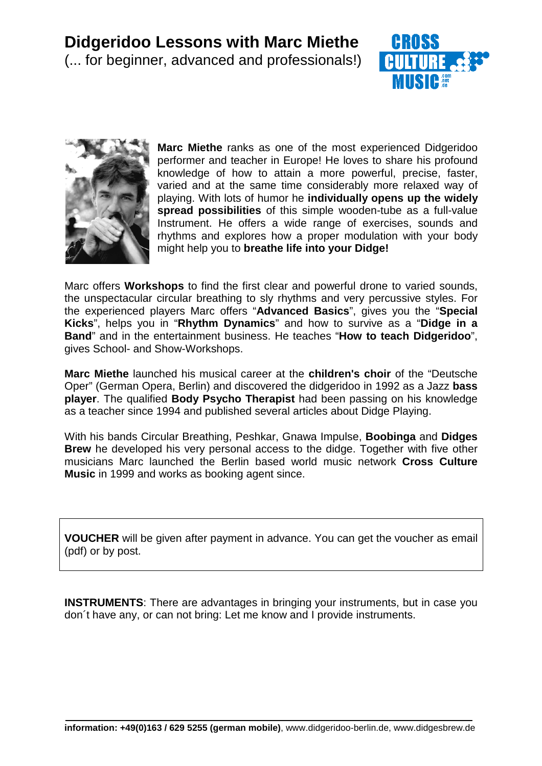



**Marc Miethe** ranks as one of the most experienced Didgeridoo performer and teacher in Europe! He loves to share his profound knowledge of how to attain a more powerful, precise, faster, varied and at the same time considerably more relaxed way of playing. With lots of humor he **individually opens up the widely spread possibilities** of this simple wooden-tube as a full-value Instrument. He offers a wide range of exercises, sounds and rhythms and explores how a proper modulation with your body might help you to **breathe life into your Didge!**

Marc offers **Workshops** to find the first clear and powerful drone to varied sounds, the unspectacular circular breathing to sly rhythms and very percussive styles. For the experienced players Marc offers "**Advanced Basics**", gives you the "**Special Kicks**", helps you in "**Rhythm Dynamics**" and how to survive as a "**Didge in a Band**" and in the entertainment business. He teaches "**How to teach Didgeridoo**", gives School- and Show-Workshops.

**Marc Miethe** launched his musical career at the **children's choir** of the "Deutsche Oper" (German Opera, Berlin) and discovered the didgeridoo in 1992 as a Jazz **bass player**. The qualified **Body Psycho Therapist** had been passing on his knowledge as a teacher since 1994 and published several articles about Didge Playing.

With his bands Circular Breathing, Peshkar, Gnawa Impulse, **Boobinga** and **Didges Brew** he developed his very personal access to the didge. Together with five other musicians Marc launched the Berlin based world music network **Cross Culture Music** in 1999 and works as booking agent since.

**VOUCHER** will be given after payment in advance. You can get the voucher as email (pdf) or by post.

**INSTRUMENTS:** There are advantages in bringing your instruments, but in case you don´t have any, or can not bring: Let me know and I provide instruments.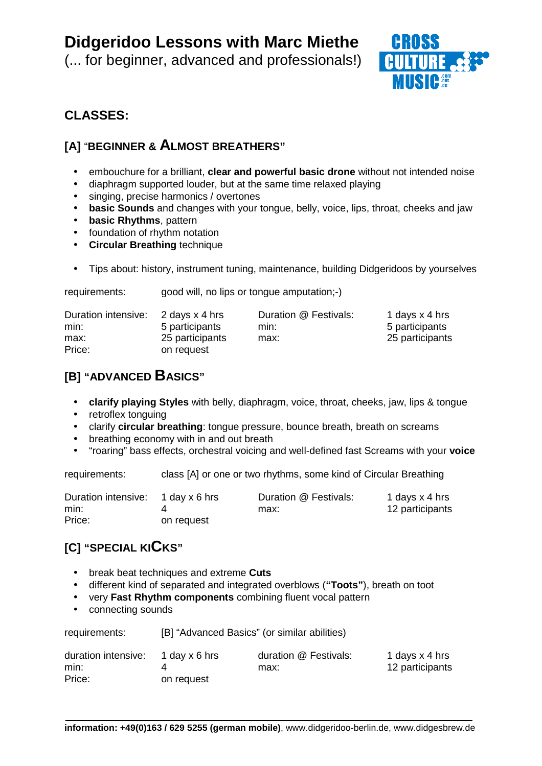(... for beginner, advanced and professionals!)



## **CLASSES:**

## **[A]** "**BEGINNER & ALMOST BREATHERS"**

- embouchure for a brilliant, **clear and powerful basic drone** without not intended noise
- diaphragm supported louder, but at the same time relaxed playing

requirements: good will, no lips or tongue amputation;-)

- singing, precise harmonics / overtones
- **basic Sounds** and changes with your tongue, belly, voice, lips, throat, cheeks and jaw
- **basic Rhythms**, pattern
- foundation of rhythm notation
- **Circular Breathing** technique
- Tips about: history, instrument tuning, maintenance, building Didgeridoos by yourselves

| Duration intensive: | 2 days x 4 hrs  | Duration @ Festivals: | 1 days x 4 hrs  |
|---------------------|-----------------|-----------------------|-----------------|
| min:                | 5 participants  | min:                  | 5 participants  |
| max:                | 25 participants | max:                  | 25 participants |
| Price:              | on request      |                       |                 |

## **[B] "ADVANCED BASICS"**

- **clarify playing Styles** with belly, diaphragm, voice, throat, cheeks, jaw, lips & tongue
- retroflex tonguing
- clarify **circular breathing**: tongue pressure, bounce breath, breath on screams
- breathing economy with in and out breath
- "roaring" bass effects, orchestral voicing and well-defined fast Screams with your **voice**

requirements: class [A] or one or two rhythms, some kind of Circular Breathing

| Duration intensive: 1 day x 6 hrs |            | Duration @ Festivals: | 1 days x 4 hrs  |
|-----------------------------------|------------|-----------------------|-----------------|
| min:                              |            | max:                  | 12 participants |
| Price:                            | on request |                       |                 |

## **[C] "SPECIAL KICKS"**

- break beat techniques and extreme **Cuts**
- different kind of separated and integrated overblows (**"Toots"**), breath on toot
- very **Fast Rhythm components** combining fluent vocal pattern
- connecting sounds

| requirements: | [B] "Advanced Basics" (or similar abilities) |  |
|---------------|----------------------------------------------|--|
|               | $\sim$ $ \sim$                               |  |

| duration intensive: | 1 day x 6 hrs | duration @ Festivals: | 1 days x 4 hrs  |
|---------------------|---------------|-----------------------|-----------------|
| min:                |               | max:                  | 12 participants |
| Price:              | on request    |                       |                 |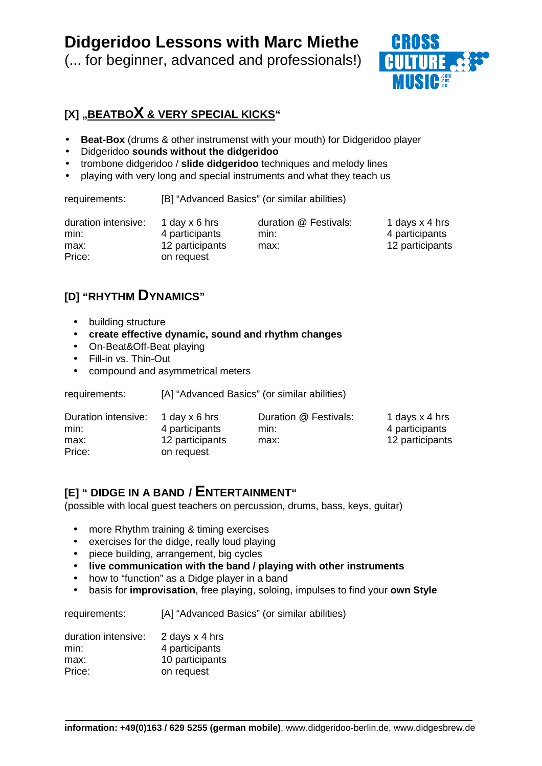(... for beginner, advanced and professionals!)



## **[X] "BEATBOX & VERY SPECIAL KICKS"**

- **Beat-Box** (drums & other instrumenst with your mouth) for Didgeridoo player
- Didgeridoo **sounds without the didgeridoo**
- trombone didgeridoo / **slide didgeridoo** techniques and melody lines
- playing with very long and special instruments and what they teach us

requirements: [B] "Advanced Basics" (or similar abilities)

| duration intensive: | 1 day $x$ 6 hrs               | duration @ Festivals: | 1 days x 4 hrs  |
|---------------------|-------------------------------|-----------------------|-----------------|
| min:                | 4 participants                | min:                  | 4 participants  |
| max:<br>Price:      | 12 participants<br>on request | max:                  | 12 participants |

## **[D] "RHYTHM DYNAMICS"**

- building structure
- **create effective dynamic, sound and rhythm changes**
- On-Beat&Off-Beat playing
- Fill-in vs. Thin-Out
- compound and asymmetrical meters

requirements: [A] "Advanced Basics" (or similar abilities)

| Duration intensive: | 1 day x 6 hrs   | Duration @ Festivals: | 1 days x 4 hrs  |
|---------------------|-----------------|-----------------------|-----------------|
| min:                | 4 participants  | min:                  | 4 participants  |
| max:                | 12 participants | max:                  | 12 participants |
| Price:              | on request      |                       |                 |

### **[E] " DIDGE IN A BAND / ENTERTAINMENT"**

(possible with local guest teachers on percussion, drums, bass, keys, guitar)

- more Rhythm training & timing exercises
- exercises for the didge, really loud playing
- piece building, arrangement, big cycles
- **live communication with the band / playing with other instruments**
- how to "function" as a Didge player in a band
- basis for **improvisation**, free playing, soloing, impulses to find your **own Style**

requirements: [A] "Advanced Basics" (or similar abilities)

| duration intensive: | 2 days x 4 hrs  |
|---------------------|-----------------|
| min:                | 4 participants  |
| max:                | 10 participants |
| Price:              | on request      |